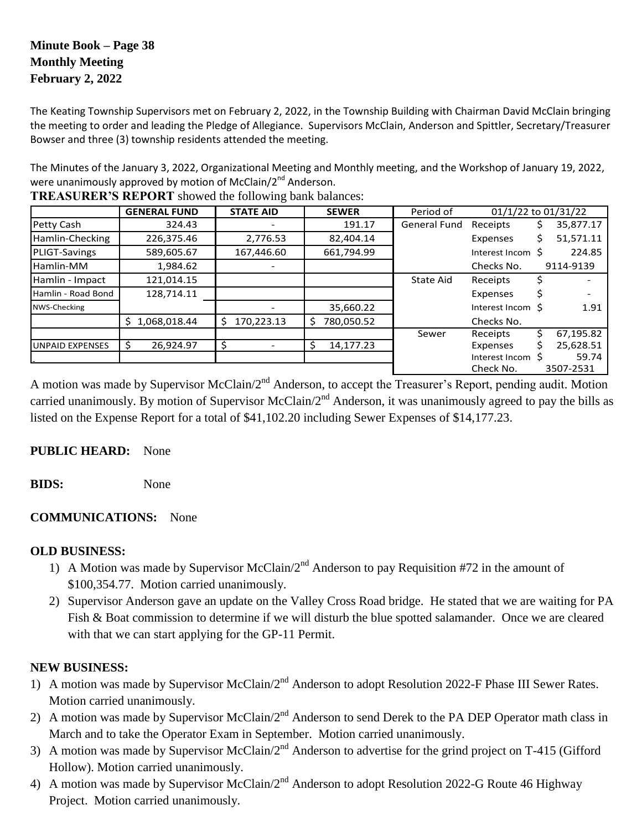# **Minute Book – Page 38 Monthly Meeting February 2, 2022**

The Keating Township Supervisors met on February 2, 2022, in the Township Building with Chairman David McClain bringing the meeting to order and leading the Pledge of Allegiance. Supervisors McClain, Anderson and Spittler, Secretary/Treasurer Bowser and three (3) township residents attended the meeting.

The Minutes of the January 3, 2022, Organizational Meeting and Monthly meeting, and the Workshop of January 19, 2022, were unanimously approved by motion of McClain/2<sup>nd</sup> Anderson.

|                        | <b>GENERAL FUND</b> | <b>STATE AID</b> | <b>SEWER</b>     | Period of           |                   | $01/1/22$ to $01/31/22$ |
|------------------------|---------------------|------------------|------------------|---------------------|-------------------|-------------------------|
| Petty Cash             | 324.43              |                  | 191.17           | <b>General Fund</b> | Receipts          | 35,877.17               |
| Hamlin-Checking        | 226,375.46          | 2,776.53         | 82,404.14        |                     | Expenses          | 51,571.11               |
| <b>PLIGT-Savings</b>   | 589,605.67          | 167,446.60       | 661,794.99       |                     | Interest Incom \$ | 224.85                  |
| Hamlin-MM              | 1,984.62            |                  |                  |                     | Checks No.        | 9114-9139               |
| Hamlin - Impact        | 121,014.15          |                  |                  | <b>State Aid</b>    | Receipts          |                         |
| Hamlin - Road Bond     | 128,714.11          |                  |                  |                     | Expenses          |                         |
| NWS-Checking           |                     |                  | 35,660.22        |                     | Interest Incom \$ | 1.91                    |
|                        | 1,068,018.44<br>S.  | 170,223.13<br>\$ | \$<br>780,050.52 |                     | Checks No.        |                         |
|                        |                     |                  |                  | Sewer               | Receipts          | 67,195.82               |
| <b>UNPAID EXPENSES</b> | 26,924.97<br>-S     | Ś                | Ś<br>14,177.23   |                     | Expenses          | 25,628.51               |
|                        |                     |                  |                  |                     | Interest Incom S  | 59.74                   |
|                        |                     |                  |                  |                     | Check No.         | 3507-2531               |

**TREASURER'S REPORT** showed the following bank balances:

A motion was made by Supervisor McClain/2<sup>nd</sup> Anderson, to accept the Treasurer's Report, pending audit. Motion carried unanimously. By motion of Supervisor McClain/ $2^{nd}$  Anderson, it was unanimously agreed to pay the bills as listed on the Expense Report for a total of \$41,102.20 including Sewer Expenses of \$14,177.23.

## **PUBLIC HEARD:** None

**BIDS:** None

## **COMMUNICATIONS:** None

## **OLD BUSINESS:**

- 1) A Motion was made by Supervisor McClain/ $2<sup>nd</sup>$  Anderson to pay Requisition #72 in the amount of \$100,354.77. Motion carried unanimously.
- 2) Supervisor Anderson gave an update on the Valley Cross Road bridge. He stated that we are waiting for PA Fish & Boat commission to determine if we will disturb the blue spotted salamander. Once we are cleared with that we can start applying for the GP-11 Permit.

## **NEW BUSINESS:**

- 1) A motion was made by Supervisor McClain/2<sup>nd</sup> Anderson to adopt Resolution 2022-F Phase III Sewer Rates. Motion carried unanimously.
- 2) A motion was made by Supervisor McClain/2<sup>nd</sup> Anderson to send Derek to the PA DEP Operator math class in March and to take the Operator Exam in September. Motion carried unanimously.
- 3) A motion was made by Supervisor McClain/2<sup>nd</sup> Anderson to advertise for the grind project on T-415 (Gifford Hollow). Motion carried unanimously.
- 4) A motion was made by Supervisor McClain/2<sup>nd</sup> Anderson to adopt Resolution 2022-G Route 46 Highway Project. Motion carried unanimously.